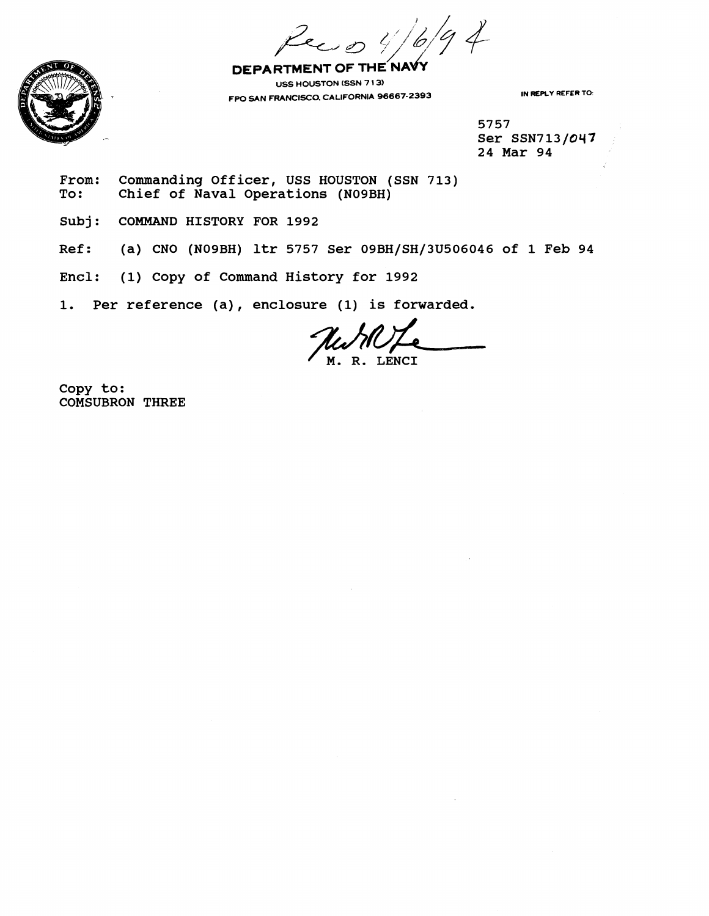$6/94$ i 0 4

DEPARTMENT OF THE NAVY **US5 HOUSTON (SSN 7 1 3) FPO SAN FRANCISCO. CALIFORNIA 96667.2393 IN REPLY REFER TO:** 

**5757 Ser SSN713/047 24 Mar 94** 

From: Commanding Officer, USS HOUSTON (SSN 713)<br>To: Chief of Naval Operations (N09BH) Chief of Naval Operations (N09BH)

**Subj: COMMAND HISTORY FOR 1992** 

**Ref: (a) CNO (N09BH) ltr 5757 Ser 09BH/SH/3U506046 of 1 Feb 94** 

**Enel: (1) Copy of Command History for 1992** 

**1. Per reference (a)** , **enclosure (1) is forwarded.** 

M. R. LENCI

**Copy to: COMSUBRON THREE** 

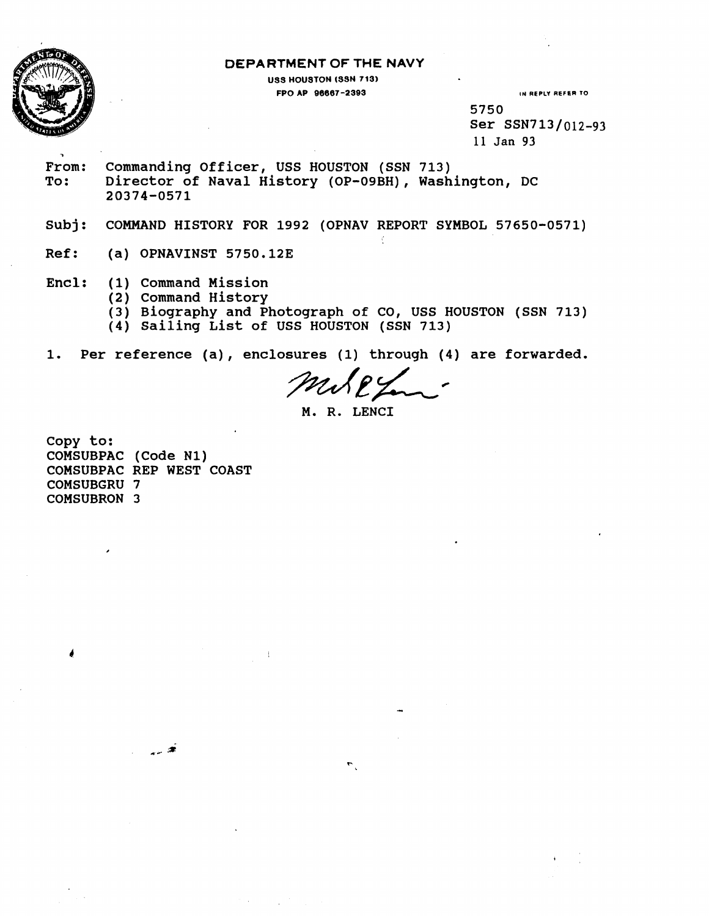

**7** 

### **DEPARTMENT OF THE NAVY**

**USS HOUSTON (SSN 713) FPO AP 96667-2393 IN REPLY REFER TO** 

**5750 Ser SSN713/012-93 11 Jan 93** 

**From: Commanding Officer, USS HOUSTON (SSN 713) To: Director of Naval History (OP-09BH), Washington, DC 20374-0571** 

**Subj: COMMAND HISTORY FOR 1992 (OPNAV REPORT SYMBOL 57650-0571)** 

**Ref: (a) OPNAVINST 5750.123** 

**Encl: (1) Command Mission** 

- **(2) Command History**
- **(3) Biography and Photograph of CO, USS HOUSTON (SSN 713)**
- **(4) sailing List of USS HOUSTON (SSN 713)**

**1. Per reference (a), enclosures (1) through (4) are forwarded.** 

 $\ddot{z}$ 

**M. R. LENCI** 

**copy to: COMSUBPAC (Code N1) COMSUBPAC REP WEST COAST COMSUBGRU 7 COMSUBRON 3**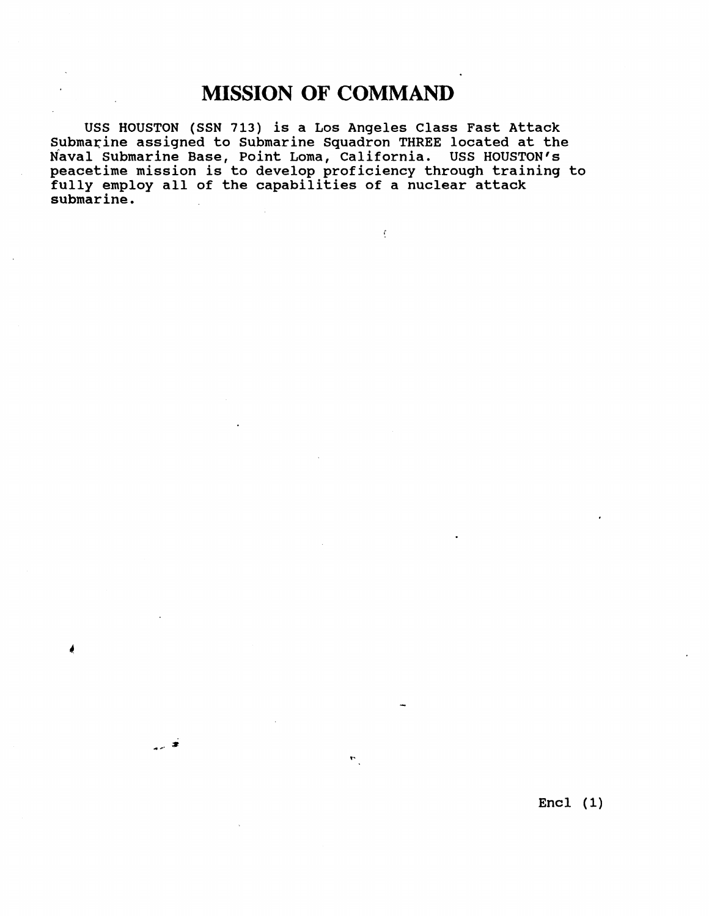# **MISSION OF COMMAND**

**USS HOUSTON (SSN 713) is a Los Angeles Class Fast Attack**  Submarine assigned to Submarine Squadron THREE located at the Naval Submarine Base, Point Loma, California. USS HOUSTON's **peacetime mission is to develop proficiency through training to fully employ all of the capabilities of a nuclear attack submarine.** 

ه بر

 $\mathcal{L}^{\pm}$ 

 $\mathbf{r}_{\text{c}}$ 

**Encl (1)**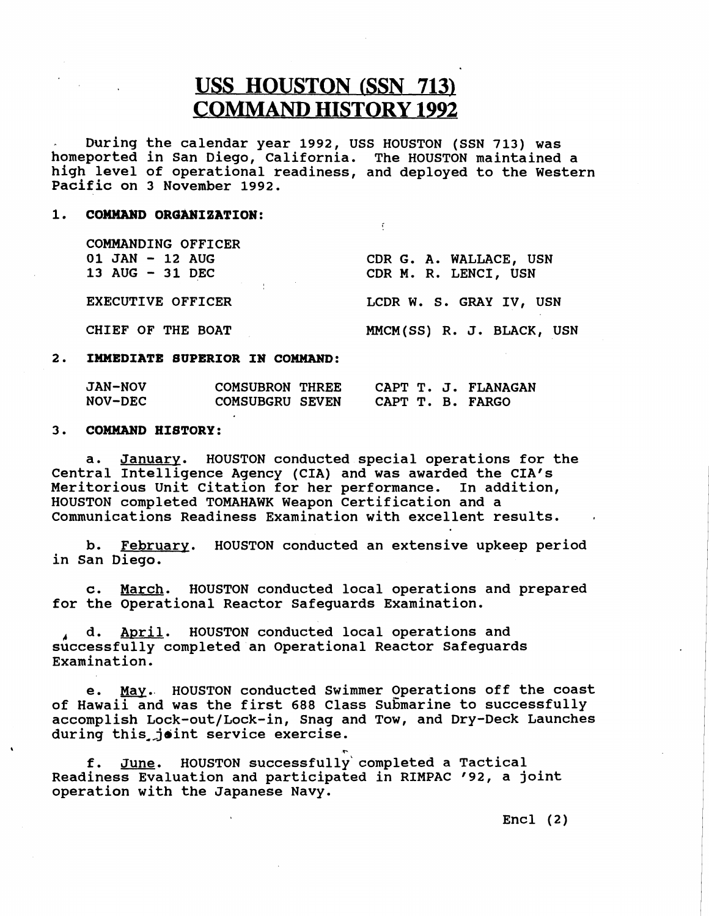# **USS HOUSTON (SSN 713) COMMAND HISTORY 1992**

During the calendar year 1992, USS HOUSTON (SSN 713) was homeported in San Diego, California. The HOUSTON maintained a high level of operational readiness, and deployed to the Western Pacific on 3 November 1992.

 $\mathbf{f}$ 

#### 1. **COMMAND OROANIZATION:**

COMMANDING OFFICER 01 JAN - 12 AUG 13 AUG - 31 DEC

CDR G. A. WALLACE, USN CDR M. R. LENCI, USN

EXECUTIVE OFFICER LCDR W. S. GRAY IV, USN

CHIEF OF THE BOAT MMCM(SS) R. J. BLACK, USN

## **2. IMMEDIATE SUPERIOR IN COMMAND:**

| <b>JAN-NOV</b> | <b>COMSUBRON THREE</b> |                  | CAPT T. J. FLANAGAN |
|----------------|------------------------|------------------|---------------------|
| <b>NOV-DEC</b> | COMSUBGRU SEVEN        | CAPT T. B. FARGO |                     |

## **3. COMMAND HISTORY:**

a. January. HOUSTON conducted special operations for the Central Intelligence Agency (CIA) and was awarded the CIA'S Meritorious Unit Citation for her performance. In addition, HOUSTON completed TOMAHAWK Weapon Certification and a Communications Readiness Examination with excellent results.

b. February. HOUSTON conducted an extensive upkeep period in San Diego.

c. March. HOUSTON conducted local operations and prepared for the Operational Reactor Safeguards Examination.

**1** d. April. HOUSTON conducted local operations and successfully completed an Operational Reactor Safeguards Examination.

e. May. HOUSTON conducted Swimmer Operations off the coast of Hawaii and was the first 688 Class Submarine to successfully accomplish Lock-out/Lock-in, Snag and Tow, and Dry-Deck Launches during this joint service exercise.

 $\mathbf{P}$  **P**  $\mathbf{P}$  **P**  $\mathbf{P}$  **P**  $\mathbf{P}$  **P**  $\mathbf{P}$  **P**  $\mathbf{P}$  **P**  $\mathbf{P}$  **P**  $\mathbf{P}$  **P**  $\mathbf{P}$  **P**  $\mathbf{P}$  **P**  $\mathbf{P}$  **P**  $\mathbf{P}$  **P**  $\mathbf{P}$  **P**  $\mathbf{P}$  **P**  $\mathbf{P}$  **P**  $\mathbf{P}$  **P**  $\mathbf{P}$  **P** f. June. HOUSTON successfully'completed a Tactical Readiness Evaluation and participated in RIMPAC '92, a joint operation with the Japanese Navy.

 $Encl$  (2)